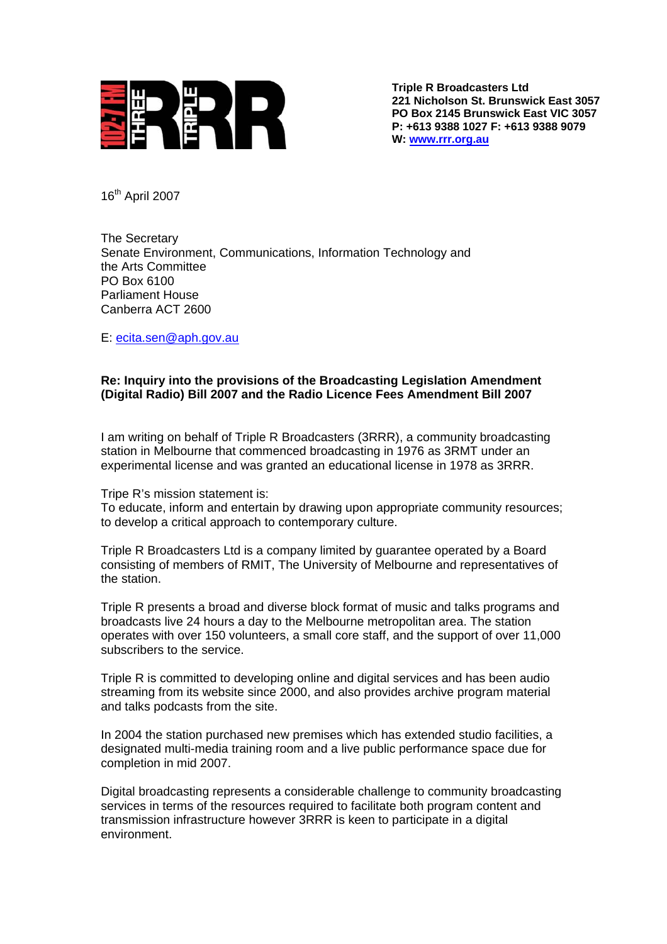

**Triple R Broadcasters Ltd 221 Nicholson St. Brunswick East 3057 PO Box 2145 Brunswick East VIC 3057 P: +613 9388 1027 F: +613 9388 9079 W: [www.rrr.org.au](http://www.rrr.org.au/)**

16th April 2007

The Secretary Senate Environment, Communications, Information Technology and the Arts Committee PO Box 6100 Parliament House Canberra ACT 2600

E: [ecita.sen@aph.gov.au](mailto:ecita@aph.gov.au)

## **Re: Inquiry into the provisions of the Broadcasting Legislation Amendment (Digital Radio) Bill 2007 and the Radio Licence Fees Amendment Bill 2007**

I am writing on behalf of Triple R Broadcasters (3RRR), a community broadcasting station in Melbourne that commenced broadcasting in 1976 as 3RMT under an experimental license and was granted an educational license in 1978 as 3RRR.

Tripe R's mission statement is:

To educate, inform and entertain by drawing upon appropriate community resources; to develop a critical approach to contemporary culture.

Triple R Broadcasters Ltd is a company limited by guarantee operated by a Board consisting of members of RMIT, The University of Melbourne and representatives of the station.

Triple R presents a broad and diverse block format of music and talks programs and broadcasts live 24 hours a day to the Melbourne metropolitan area. The station operates with over 150 volunteers, a small core staff, and the support of over 11,000 subscribers to the service.

Triple R is committed to developing online and digital services and has been audio streaming from its website since 2000, and also provides archive program material and talks podcasts from the site.

In 2004 the station purchased new premises which has extended studio facilities, a designated multi-media training room and a live public performance space due for completion in mid 2007.

Digital broadcasting represents a considerable challenge to community broadcasting services in terms of the resources required to facilitate both program content and transmission infrastructure however 3RRR is keen to participate in a digital environment.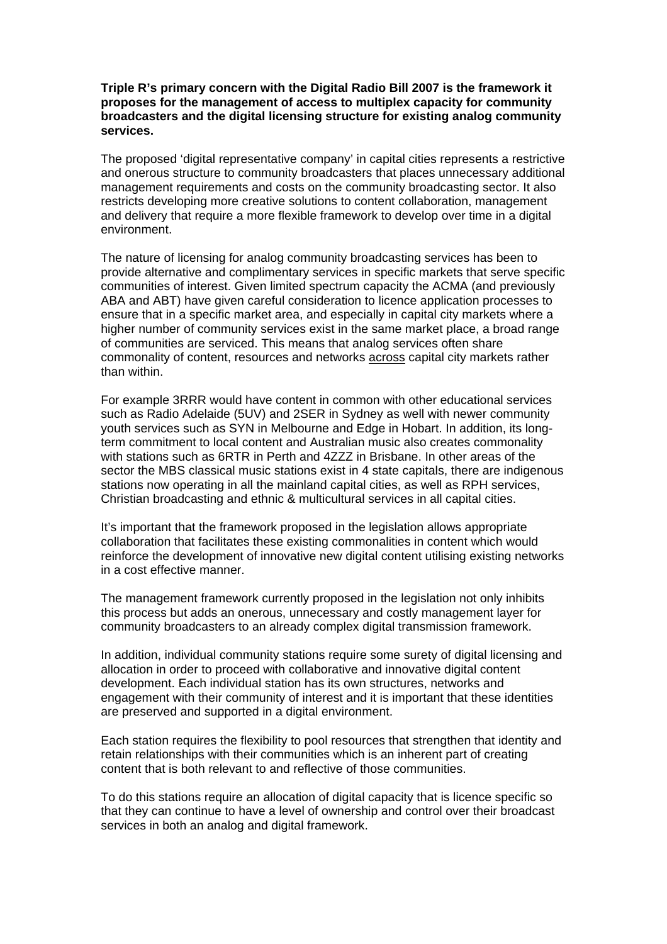## **Triple R's primary concern with the Digital Radio Bill 2007 is the framework it proposes for the management of access to multiplex capacity for community broadcasters and the digital licensing structure for existing analog community services.**

The proposed 'digital representative company' in capital cities represents a restrictive and onerous structure to community broadcasters that places unnecessary additional management requirements and costs on the community broadcasting sector. It also restricts developing more creative solutions to content collaboration, management and delivery that require a more flexible framework to develop over time in a digital environment.

The nature of licensing for analog community broadcasting services has been to provide alternative and complimentary services in specific markets that serve specific communities of interest. Given limited spectrum capacity the ACMA (and previously ABA and ABT) have given careful consideration to licence application processes to ensure that in a specific market area, and especially in capital city markets where a higher number of community services exist in the same market place, a broad range of communities are serviced. This means that analog services often share commonality of content, resources and networks across capital city markets rather than within.

For example 3RRR would have content in common with other educational services such as Radio Adelaide (5UV) and 2SER in Sydney as well with newer community youth services such as SYN in Melbourne and Edge in Hobart. In addition, its longterm commitment to local content and Australian music also creates commonality with stations such as 6RTR in Perth and 4ZZZ in Brisbane. In other areas of the sector the MBS classical music stations exist in 4 state capitals, there are indigenous stations now operating in all the mainland capital cities, as well as RPH services, Christian broadcasting and ethnic & multicultural services in all capital cities.

It's important that the framework proposed in the legislation allows appropriate collaboration that facilitates these existing commonalities in content which would reinforce the development of innovative new digital content utilising existing networks in a cost effective manner.

The management framework currently proposed in the legislation not only inhibits this process but adds an onerous, unnecessary and costly management layer for community broadcasters to an already complex digital transmission framework.

In addition, individual community stations require some surety of digital licensing and allocation in order to proceed with collaborative and innovative digital content development. Each individual station has its own structures, networks and engagement with their community of interest and it is important that these identities are preserved and supported in a digital environment.

Each station requires the flexibility to pool resources that strengthen that identity and retain relationships with their communities which is an inherent part of creating content that is both relevant to and reflective of those communities.

To do this stations require an allocation of digital capacity that is licence specific so that they can continue to have a level of ownership and control over their broadcast services in both an analog and digital framework.